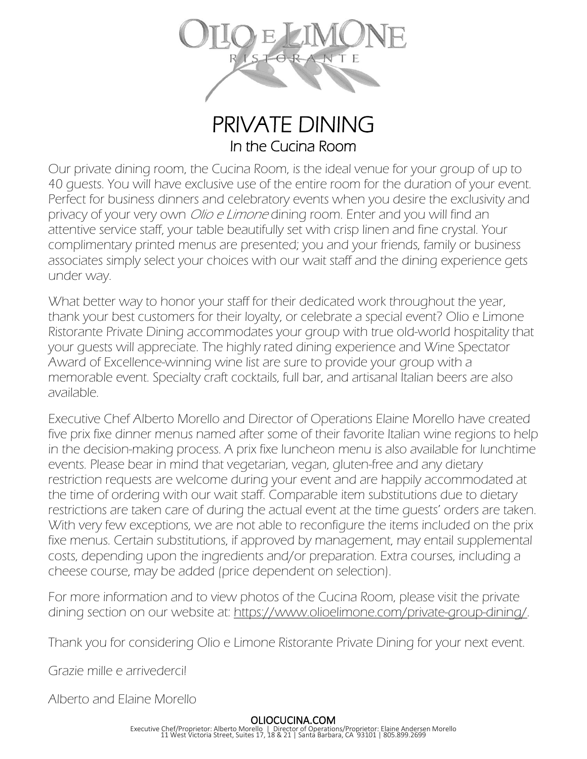

PRIVATE DINING In the Cucina Room

Our private dining room, the Cucina Room, is the ideal venue for your group of up to 40 guests. You will have exclusive use of the entire room for the duration of your event. Perfect for business dinners and celebratory events when you desire the exclusivity and privacy of your very own *Olio e Limone* dining room. Enter and you will find an attentive service staff, your table beautifully set with crisp linen and fine crystal. Your complimentary printed menus are presented; you and your friends, family or business associates simply select your choices with our wait staff and the dining experience gets under way.

What better way to honor your staff for their dedicated work throughout the year, thank your best customers for their loyalty, or celebrate a special event? Olio e Limone Ristorante Private Dining accommodates your group with true old-world hospitality that your guests will appreciate. The highly rated dining experience and Wine Spectator Award of Excellence-winning wine list are sure to provide your group with a memorable event. Specialty craft cocktails, full bar, and artisanal Italian beers are also available.

Executive Chef Alberto Morello and Director of Operations Elaine Morello have created five prix fixe dinner menus named after some of their favorite Italian wine regions to help in the decision-making process. A prix fixe luncheon menu is also available for lunchtime events. Please bear in mind that vegetarian, vegan, gluten-free and any dietary restriction requests are welcome during your event and are happily accommodated at the time of ordering with our wait staff. Comparable item substitutions due to dietary restrictions are taken care of during the actual event at the time guests' orders are taken. With very few exceptions, we are not able to reconfigure the items included on the prix fixe menus. Certain substitutions, if approved by management, may entail supplemental costs, depending upon the ingredients and/or preparation. Extra courses, including a cheese course, may be added (price dependent on selection).

For more information and to view photos of the Cucina Room, please visit the private dining section on our website at: [https://www.olioelimone.com/private-group-dining/.](https://www.olioelimone.com/private-group-dining/)

Thank you for considering Olio e Limone Ristorante Private Dining for your next event.

Grazie mille e arrivederci!

Alberto and Elaine Morello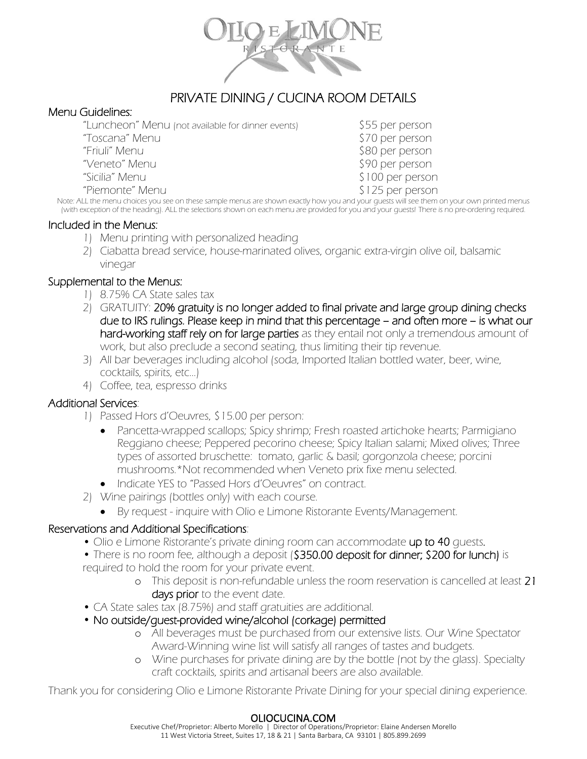

#### J PRIVATE DINING / CUCINA ROOM DETAILS

#### Menu Guidelines:

"Luncheon" Menu (not available for dinner events) \$55 per person

"Piemonte" Menu \$125 per person

"Toscana" Menu \$70 per person "Friuli" Menu \$80 per person "Veneto" Menu \$90 per person "Sicilia" Menu \$100 per person

Note: ALL the menu choices you see on these sample menus are shown exactly how you and your guests will see them on your own printed menus (with exception of the heading). ALL the selections shown on each menu are provided for you and your guests! There is no pre-ordering required.

#### Included in the Menus:

- 1) Menu printing with personalized heading
- 2) Ciabatta bread service, house-marinated olives, organic extra-virgin olive oil, balsamic vinegar

### Supplemental to the Menus:

- 1) 8.75% CA State sales tax
- 2) GRATUITY: 20% gratuity is no longer added to final private and large group dining checks due to IRS rulings. Please keep in mind that this percentage – and often more – is what our hard-working staff rely on for large parties as they entail not only a tremendous amount of work, but also preclude a second seating, thus limiting their tip revenue.
- 3) All bar beverages including alcohol (soda, Imported Italian bottled water, beer, wine, cocktails, spirits, etc…)
- 4) Coffee, tea, espresso drinks

### Additional Services:

- 1) Passed Hors d'Oeuvres, \$15.00 per person:
	- Pancetta-wrapped scallops; Spicy shrimp; Fresh roasted artichoke hearts; Parmigiano Reggiano cheese; Peppered pecorino cheese; Spicy Italian salami; Mixed olives; Three types of assorted bruschette: tomato, garlic & basil; gorgonzola cheese; porcini mushrooms.\*Not recommended when Veneto prix fixe menu selected.
	- Indicate YES to "Passed Hors d'Oeuvres" on contract.
- 2) Wine pairings (bottles only) with each course.
	- By request inquire with Olio e Limone Ristorante Events/Management.

### Reservations and Additional Specifications:

- Olio e Limone Ristorante's private dining room can accommodate up to 40 quests.
- There is no room fee, although a deposit (\$350.00 deposit for dinner; \$200 for lunch) is required to hold the room for your private event.
	- o This deposit is non-refundable unless the room reservation is cancelled at least 21 days prior to the event date.
- CA State sales tax (8.75%) and staff gratuities are additional.
- No outside/guest-provided wine/alcohol (corkage) permitted
	- o All beverages must be purchased from our extensive lists. Our Wine Spectator Award-Winning wine list will satisfy all ranges of tastes and budgets.
	- o Wine purchases for private dining are by the bottle (not by the glass). Specialty craft cocktails, spirits and artisanal beers are also available.

Thank you for considering Olio e Limone Ristorante Private Dining for your special dining experience.

#### OLIOCUCINA.COM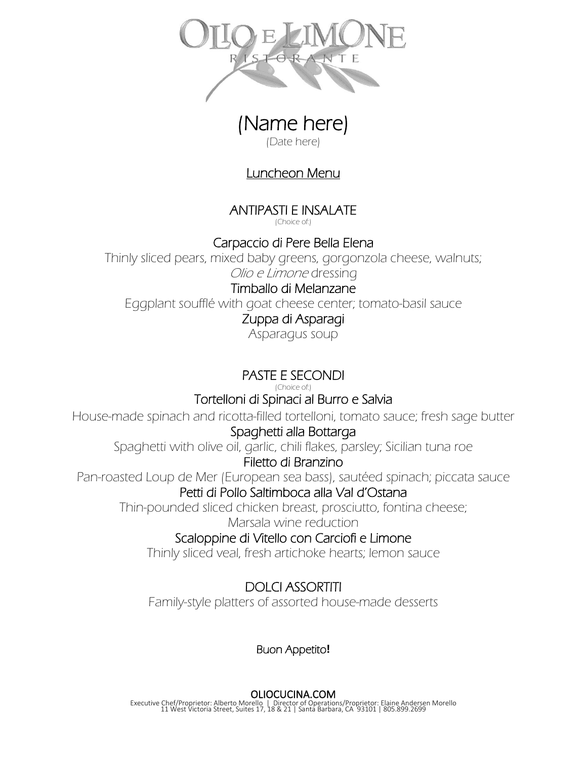

(Date here)

## Luncheon Menu

ANTIPASTI E INSALATE (Choice of:)

Carpaccio di Pere Bella Elena

Thinly sliced pears, mixed baby greens, gorgonzola cheese, walnuts; Olio e Limone dressing

## Timballo di Melanzane

Eggplant soufflé with goat cheese center; tomato-basil sauce

## Zuppa di Asparagi

Asparagus soup

# PASTE E SECONDI

(Choice of:)

## Tortelloni di Spinaci al Burro e Salvia

House-made spinach and ricotta-filled tortelloni, tomato sauce; fresh sage butter

## Spaghetti alla Bottarga

Spaghetti with olive oil, garlic, chili flakes, parsley; Sicilian tuna roe Filetto di Branzino

Pan-roasted Loup de Mer (European sea bass), sautéed spinach; piccata sauce Petti di Pollo Saltimboca alla Val d'Ostana

Thin-pounded sliced chicken breast, prosciutto, fontina cheese;

Marsala wine reduction

## Scaloppine di Vitello con Carciofi e Limone

Thinly sliced veal, fresh artichoke hearts; lemon sauce

## DOLCI ASSORTITI

Family-style platters of assorted house-made desserts

## Buon Appetito**!**

### OLIOCUCINA.COM

Executive Chef/Proprietor: Alberto Morello | Director of Operations/Proprietor: Elaine Andersen Morello 11 West Victoria Street, Suites 17, 18 & 21 | Santa Barbara, CA 93101 | 805.899.2699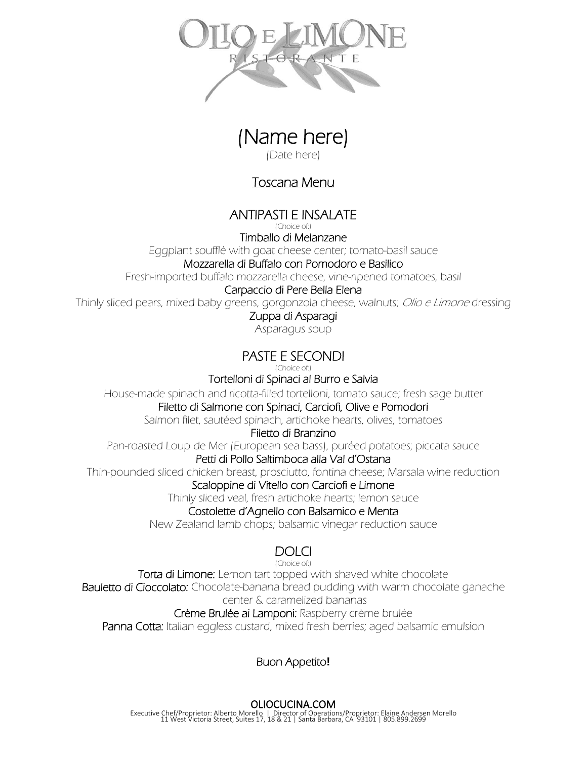



(Date here)

## Toscana Menu

## ANTIPASTI E INSALATE

(Choice of:)

Timballo di Melanzane

Eggplant soufflé with goat cheese center; tomato-basil sauce

### Mozzarella di Buffalo con Pomodoro e Basilico

Fresh-imported buffalo mozzarella cheese, vine-ripened tomatoes, basil

### Carpaccio di Pere Bella Elena

Thinly sliced pears, mixed baby greens, gorgonzola cheese, walnuts; Olio e Limone dressing

### Zuppa di Asparagi

Asparagus soup

# PASTE E SECONDI

(Choice of:)

### Tortelloni di Spinaci al Burro e Salvia

House-made spinach and ricotta-filled tortelloni, tomato sauce; fresh sage butter

### Filetto di Salmone con Spinaci, Carciofi, Olive e Pomodori

Salmon filet, sautéed spinach, artichoke hearts, olives, tomatoes

### Filetto di Branzino

Pan-roasted Loup de Mer (European sea bass), puréed potatoes; piccata sauce

### Petti di Pollo Saltimboca alla Val d'Ostana

Thin-pounded sliced chicken breast, prosciutto, fontina cheese; Marsala wine reduction

### Scaloppine di Vitello con Carciofi e Limone

Thinly sliced veal, fresh artichoke hearts; lemon sauce

### Costolette d'Agnello con Balsamico e Menta

New Zealand lamb chops; balsamic vinegar reduction sauce

# DOLCI

(Choice of:)

Torta di Limone: Lemon tart topped with shaved white chocolate Bauletto di Cioccolato: Chocolate-banana bread pudding with warm chocolate ganache center & caramelized bananas

### Crème Brulée ai Lamponi: Raspberry crème brulée

Panna Cotta: Italian eggless custard, mixed fresh berries; aged balsamic emulsion

## Buon Appetito**!**

OLIOCUCINA.COM Executive Chef/Proprietor: Alberto Morello | Director of Operations/Proprietor: Elaine Andersen Morello 11 West Victoria Street, Suites 17, 18 & 21 | Santa Barbara, CA 93101 | 805.899.2699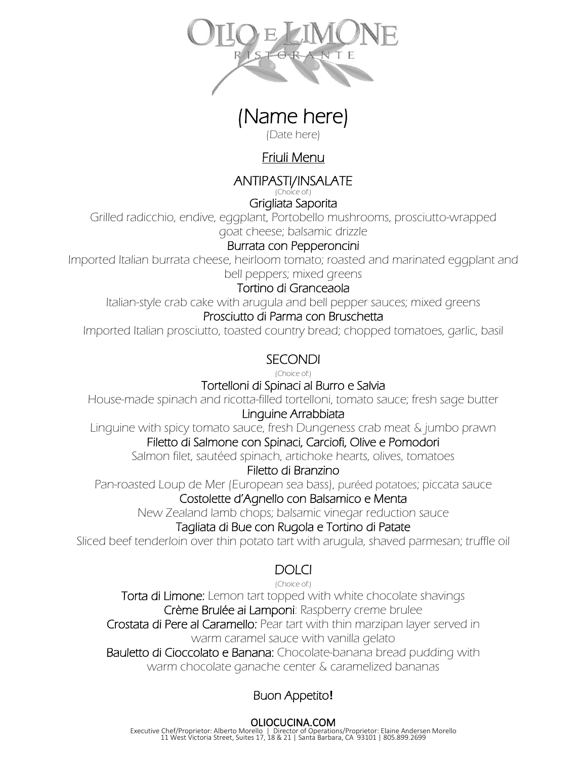

(Date here)

# Friuli Menu

ANTIPASTI/INSALATE

(Choice of:) Grigliata Saporita

Grilled radicchio, endive, eggplant, Portobello mushrooms, prosciutto-wrapped goat cheese; balsamic drizzle

### Burrata con Pepperoncini

Imported Italian burrata cheese, heirloom tomato; roasted and marinated eggplant and bell peppers; mixed greens

## Tortino di Granceaola

Italian-style crab cake with arugula and bell pepper sauces; mixed greens

### Prosciutto di Parma con Bruschetta

Imported Italian prosciutto, toasted country bread; chopped tomatoes, garlic, basil

# SECONDI

(Choice of:)

### Tortelloni di Spinaci al Burro e Salvia

House-made spinach and ricotta-filled tortelloni, tomato sauce; fresh sage butter Linguine Arrabbiata

Linguine with spicy tomato sauce, fresh Dungeness crab meat & jumbo prawn Filetto di Salmone con Spinaci, Carciofi, Olive e Pomodori

Salmon filet, sautéed spinach, artichoke hearts, olives, tomatoes

### Filetto di Branzino

Pan-roasted Loup de Mer (European sea bass), puréed potatoes; piccata sauce

### Costolette d'Agnello con Balsamico e Menta

New Zealand lamb chops; balsamic vinegar reduction sauce

### Tagliata di Bue con Rugola e Tortino di Patate

Sliced beef tenderloin over thin potato tart with arugula, shaved parmesan; truffle oil

## **DOLCI**

(Choice of:)

Torta di Limone: Lemon tart topped with white chocolate shavings Crème Brulée ai Lamponi: Raspberry creme brulee

Crostata di Pere al Caramello: Pear tart with thin marzipan layer served in warm caramel sauce with vanilla gelato

Bauletto di Cioccolato e Banana: Chocolate-banana bread pudding with warm chocolate ganache center & caramelized bananas

# Buon Appetito**!**

OLIOCUCINA.COM Executive Chef/Proprietor: Alberto Morello | Director of Operations/Proprietor: Elaine Andersen Morello 11 West Victoria Street, Suites 17, 18 & 21 | Santa Barbara, CA 93101 | 805.899.2699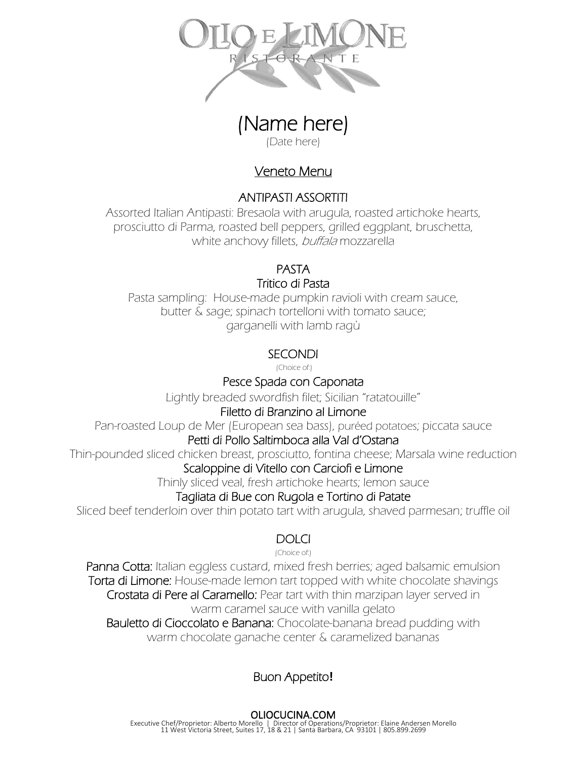

(Date here)

## Veneto Menu

### ANTIPASTI ASSORTITI

Assorted Italian Antipasti: Bresaola with arugula, roasted artichoke hearts, prosciutto di Parma, roasted bell peppers, grilled eggplant, bruschetta, white anchovy fillets, buffala mozzarella

## PASTA

### Tritico di Pasta

Pasta sampling: House-made pumpkin ravioli with cream sauce, butter & sage; spinach tortelloni with tomato sauce; garganelli with lamb ragù

## **SECONDI**

(Choice of:)

## Pesce Spada con Caponata

Lightly breaded swordfish filet; Sicilian "ratatouille"

### Filetto di Branzino al Limone

Pan-roasted Loup de Mer (European sea bass), puréed potatoes; piccata sauce

### Petti di Pollo Saltimboca alla Val d'Ostana

Thin-pounded sliced chicken breast, prosciutto, fontina cheese; Marsala wine reduction

### Scaloppine di Vitello con Carciofi e Limone

Thinly sliced veal, fresh artichoke hearts; lemon sauce

## Tagliata di Bue con Rugola e Tortino di Patate

Sliced beef tenderloin over thin potato tart with arugula, shaved parmesan; truffle oil

## **DOLCI**

(Choice of:)

Panna Cotta: Italian eggless custard, mixed fresh berries; aged balsamic emulsion Torta di Limone: House-made lemon tart topped with white chocolate shavings Crostata di Pere al Caramello: Pear tart with thin marzipan layer served in warm caramel sauce with vanilla gelato Bauletto di Cioccolato e Banana: Chocolate-banana bread pudding with warm chocolate ganache center & caramelized bananas

# Buon Appetito**!**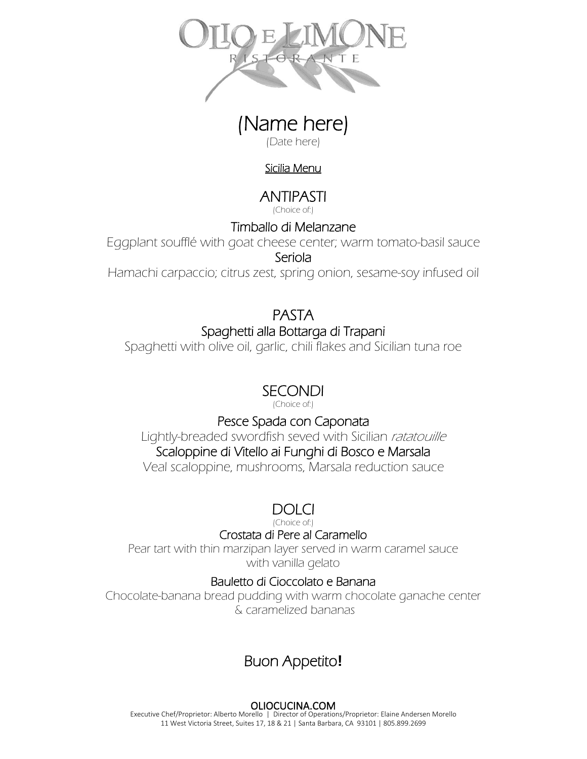

(Date here)

### Sicilia Menu

# ANTIPASTI

(Choice of:)

## Timballo di Melanzane

Eggplant soufflé with goat cheese center; warm tomato-basil sauce Seriola

Hamachi carpaccio; citrus zest, spring onion, sesame-soy infused oil

# PASTA Spaghetti alla Bottarga di Trapani

Spaghetti with olive oil, garlic, chili flakes and Sicilian tuna roe

# SECONDI

(Choice of:)

## Pesce Spada con Caponata

Lightly-breaded swordfish seved with Sicilian ratatouille

# Scaloppine di Vitello ai Funghi di Bosco e Marsala

Veal scaloppine, mushrooms, Marsala reduction sauce

# DOLCI

(Choice of:)

### Crostata di Pere al Caramello

Pear tart with thin marzipan layer served in warm caramel sauce with vanilla gelato

## Bauletto di Cioccolato e Banana

Chocolate-banana bread pudding with warm chocolate ganache center & caramelized bananas

# Buon Appetito**!**

### OLIOCUCINA.COM

Executive Chef/Proprietor: Alberto Morello | Director of Operations/Proprietor: Elaine Andersen Morello 11 West Victoria Street, Suites 17, 18 & 21 | Santa Barbara, CA 93101 | 805.899.2699